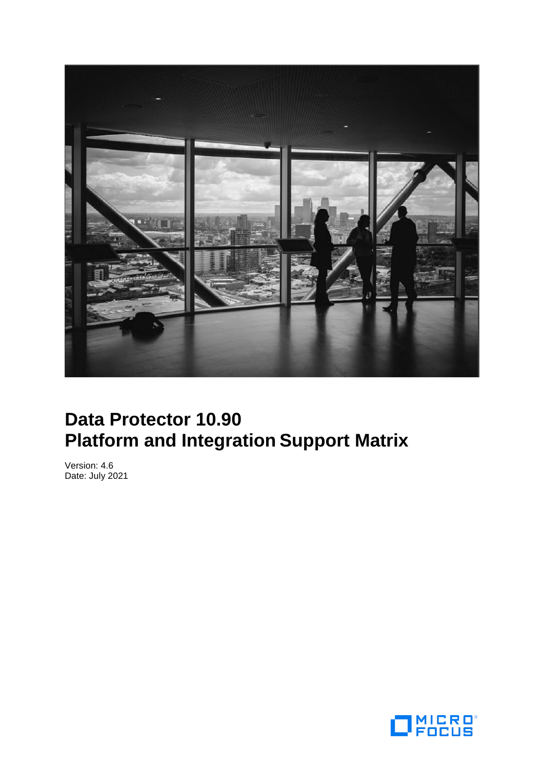

# **Data Protector 10.90 Platform and Integration Support Matrix**

Version: 4.6 Date: July 2021

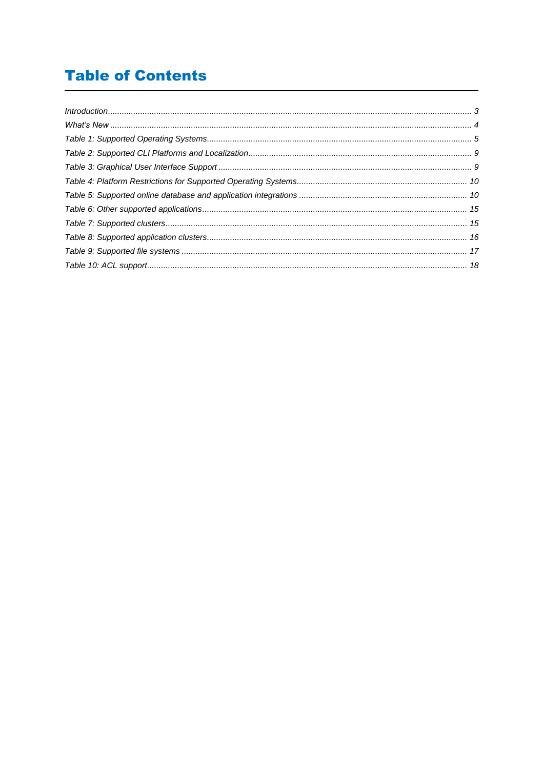## **Table of Contents**

| $\int_0^{\infty} \int_0^{\infty} \int_0^{\infty} \int_0^{\infty} \int_0^{\infty} \int_0^{\infty} \int_0^{\infty} \int_0^{\infty} \int_0^{\infty} \int_0^{\infty} \int_0^{\infty} \int_0^{\infty} \int_0^{\infty} \int_0^{\infty} \int_0^{\infty} \int_0^{\infty} \int_0^{\infty} \int_0^{\infty} \int_0^{\infty} \int_0^{\infty} \int_0^{\infty} \int_0^{\infty} \int_0^{\infty} \int_0^{\infty} \int_0$ |  |
|----------------------------------------------------------------------------------------------------------------------------------------------------------------------------------------------------------------------------------------------------------------------------------------------------------------------------------------------------------------------------------------------------------|--|
|                                                                                                                                                                                                                                                                                                                                                                                                          |  |
|                                                                                                                                                                                                                                                                                                                                                                                                          |  |
|                                                                                                                                                                                                                                                                                                                                                                                                          |  |
|                                                                                                                                                                                                                                                                                                                                                                                                          |  |
|                                                                                                                                                                                                                                                                                                                                                                                                          |  |
|                                                                                                                                                                                                                                                                                                                                                                                                          |  |
|                                                                                                                                                                                                                                                                                                                                                                                                          |  |
|                                                                                                                                                                                                                                                                                                                                                                                                          |  |
|                                                                                                                                                                                                                                                                                                                                                                                                          |  |
|                                                                                                                                                                                                                                                                                                                                                                                                          |  |
|                                                                                                                                                                                                                                                                                                                                                                                                          |  |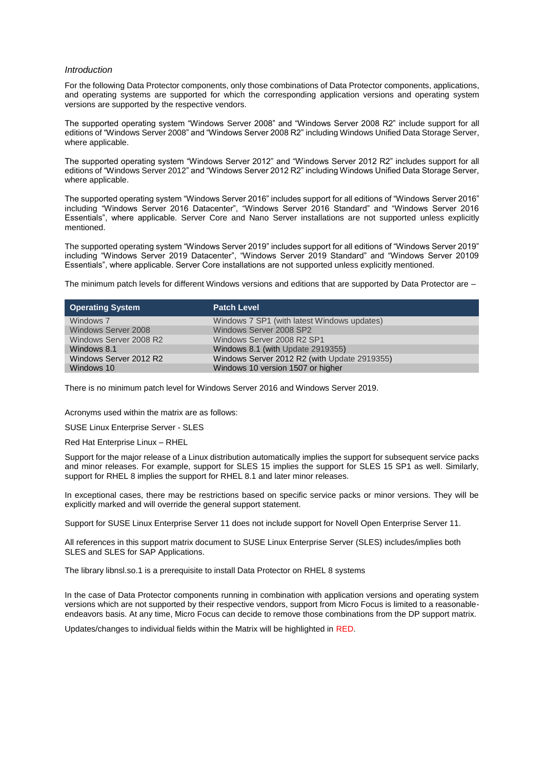#### <span id="page-2-0"></span>*Introduction*

For the following Data Protector components, only those combinations of Data Protector components, applications, and operating systems are supported for which the corresponding application versions and operating system versions are supported by the respective vendors.

The supported operating system "Windows Server 2008" and "Windows Server 2008 R2" include support for all editions of "Windows Server 2008" and "Windows Server 2008 R2" including Windows Unified Data Storage Server, where applicable.

The supported operating system "Windows Server 2012" and "Windows Server 2012 R2" includes support for all editions of "Windows Server 2012" and "Windows Server 2012 R2" including Windows Unified Data Storage Server, where applicable.

The supported operating system "Windows Server 2016" includes support for all editions of "Windows Server 2016" including "Windows Server 2016 Datacenter", "Windows Server 2016 Standard" and "Windows Server 2016 Essentials", where applicable. Server Core and Nano Server installations are not supported unless explicitly mentioned.

The supported operating system "Windows Server 2019" includes support for all editions of "Windows Server 2019" including "Windows Server 2019 Datacenter", "Windows Server 2019 Standard" and "Windows Server 20109 Essentials", where applicable. Server Core installations are not supported unless explicitly mentioned.

The minimum patch levels for different Windows versions and editions that are supported by Data Protector are –

| Operating System       | <b>Patch Level</b>                           |
|------------------------|----------------------------------------------|
| Windows 7              | Windows 7 SP1 (with latest Windows updates)  |
| Windows Server 2008    | Windows Server 2008 SP2                      |
| Windows Server 2008 R2 | Windows Server 2008 R2 SP1                   |
| Windows 8.1            | Windows 8.1 (with Update 2919355)            |
| Windows Server 2012 R2 | Windows Server 2012 R2 (with Update 2919355) |
| Windows 10             | Windows 10 version 1507 or higher            |

There is no minimum patch level for Windows Server 2016 and Windows Server 2019.

Acronyms used within the matrix are as follows:

SUSE Linux Enterprise Server - SLES

Red Hat Enterprise Linux – RHEL

Support for the major release of a Linux distribution automatically implies the support for subsequent service packs and minor releases. For example, support for SLES 15 implies the support for SLES 15 SP1 as well. Similarly, support for RHEL 8 implies the support for RHEL 8.1 and later minor releases.

In exceptional cases, there may be restrictions based on specific service packs or minor versions. They will be explicitly marked and will override the general support statement.

Support for SUSE Linux Enterprise Server 11 does not include support for Novell Open Enterprise Server 11.

All references in this support matrix document to SUSE Linux Enterprise Server (SLES) includes/implies both SLES and SLES for SAP Applications.

The library libnsl.so.1 is a prerequisite to install Data Protector on RHEL 8 systems

In the case of Data Protector components running in combination with application versions and operating system versions which are not supported by their respective vendors, support from Micro Focus is limited to a reasonableendeavors basis. At any time, Micro Focus can decide to remove those combinations from the DP support matrix.

Updates/changes to individual fields within the Matrix will be highlighted in RED.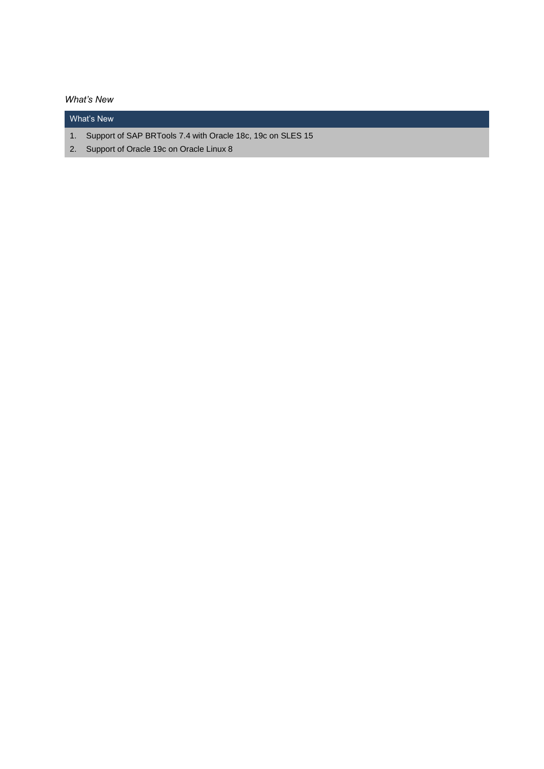### <span id="page-3-0"></span>*What's New*

## What's New

- 1. Support of SAP BRTools 7.4 with Oracle 18c, 19c on SLES 15
- 2. Support of Oracle 19c on Oracle Linux 8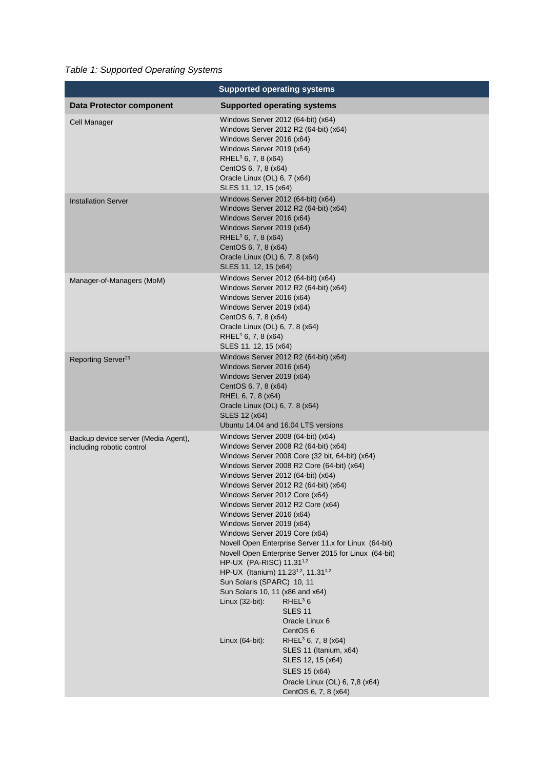<span id="page-4-0"></span>*Table 1: Supported Operating Systems*

|                                                                  | <b>Supported operating systems</b>                                                                                                                                                                                                                                                                                                                                                                                                                                                                                                                                                                                                                                                                                                                                                                           |                                                                                                                                                                    |
|------------------------------------------------------------------|--------------------------------------------------------------------------------------------------------------------------------------------------------------------------------------------------------------------------------------------------------------------------------------------------------------------------------------------------------------------------------------------------------------------------------------------------------------------------------------------------------------------------------------------------------------------------------------------------------------------------------------------------------------------------------------------------------------------------------------------------------------------------------------------------------------|--------------------------------------------------------------------------------------------------------------------------------------------------------------------|
| <b>Data Protector component</b>                                  | <b>Supported operating systems</b>                                                                                                                                                                                                                                                                                                                                                                                                                                                                                                                                                                                                                                                                                                                                                                           |                                                                                                                                                                    |
| Cell Manager                                                     | Windows Server 2012 (64-bit) (x64)<br>Windows Server 2016 (x64)<br>Windows Server 2019 (x64)<br>RHEL <sup>3</sup> 6, 7, 8 ( $x64$ )<br>CentOS 6, 7, 8 (x64)<br>Oracle Linux (OL) 6, 7 (x64)<br>SLES 11, 12, 15 (x64)                                                                                                                                                                                                                                                                                                                                                                                                                                                                                                                                                                                         | Windows Server 2012 R2 (64-bit) (x64)                                                                                                                              |
| <b>Installation Server</b>                                       | Windows Server 2012 (64-bit) (x64)<br>Windows Server 2016 (x64)<br>Windows Server 2019 (x64)<br>RHEL <sup>3</sup> 6, 7, 8 ( $x64$ )<br>CentOS 6, 7, 8 (x64)<br>Oracle Linux (OL) 6, 7, 8 (x64)<br>SLES 11, 12, 15 (x64)                                                                                                                                                                                                                                                                                                                                                                                                                                                                                                                                                                                      | Windows Server 2012 R2 (64-bit) (x64)                                                                                                                              |
| Manager-of-Managers (MoM)                                        | Windows Server 2012 (64-bit) (x64)<br>Windows Server 2016 (x64)<br>Windows Server 2019 (x64)<br>CentOS 6, 7, 8 (x64)<br>Oracle Linux (OL) 6, 7, 8 (x64)<br>RHEL $4$ 6, 7, 8 (x64)<br>SLES 11, 12, 15 (x64)                                                                                                                                                                                                                                                                                                                                                                                                                                                                                                                                                                                                   | Windows Server 2012 R2 (64-bit) (x64)                                                                                                                              |
| Reporting Server <sup>23</sup>                                   | Windows Server 2016 (x64)<br>Windows Server 2019 (x64)<br>CentOS 6, 7, 8 (x64)<br>RHEL 6, 7, 8 (x64)<br>Oracle Linux (OL) 6, 7, 8 (x64)<br>SLES 12 (x64)                                                                                                                                                                                                                                                                                                                                                                                                                                                                                                                                                                                                                                                     | Windows Server 2012 R2 (64-bit) (x64)<br>Ubuntu 14.04 and 16.04 LTS versions                                                                                       |
| Backup device server (Media Agent),<br>including robotic control | Windows Server 2008 (64-bit) (x64)<br>Windows Server 2008 R2 (64-bit) (x64)<br>Windows Server 2008 Core (32 bit, 64-bit) (x64)<br>Windows Server 2008 R2 Core (64-bit) (x64)<br>Windows Server 2012 (64-bit) (x64)<br>Windows Server 2012 R2 (64-bit) (x64)<br>Windows Server 2012 Core (x64)<br>Windows Server 2012 R2 Core (x64)<br>Windows Server 2016 (x64)<br>Windows Server 2019 (x64)<br>Windows Server 2019 Core (x64)<br>Novell Open Enterprise Server 11.x for Linux (64-bit)<br>Novell Open Enterprise Server 2015 for Linux (64-bit)<br>HP-UX (PA-RISC) 11.31 <sup>1,2</sup><br>HP-UX (Itanium) 11.23 <sup>1,2</sup> , 11.31 <sup>1,2</sup><br>Sun Solaris (SPARC) 10, 11<br>Sun Solaris 10, 11 (x86 and x64)<br>Linux (32-bit):<br>RHEL <sup>3</sup> 6<br>SLES 11<br>Oracle Linux 6<br>CentOS 6 |                                                                                                                                                                    |
|                                                                  | Linux (64-bit):                                                                                                                                                                                                                                                                                                                                                                                                                                                                                                                                                                                                                                                                                                                                                                                              | RHEL <sup>3</sup> 6, 7, 8 ( $\times$ 64)<br>SLES 11 (Itanium, x64)<br>SLES 12, 15 (x64)<br>SLES 15 (x64)<br>Oracle Linux (OL) 6, 7,8 (x64)<br>CentOS 6, 7, 8 (x64) |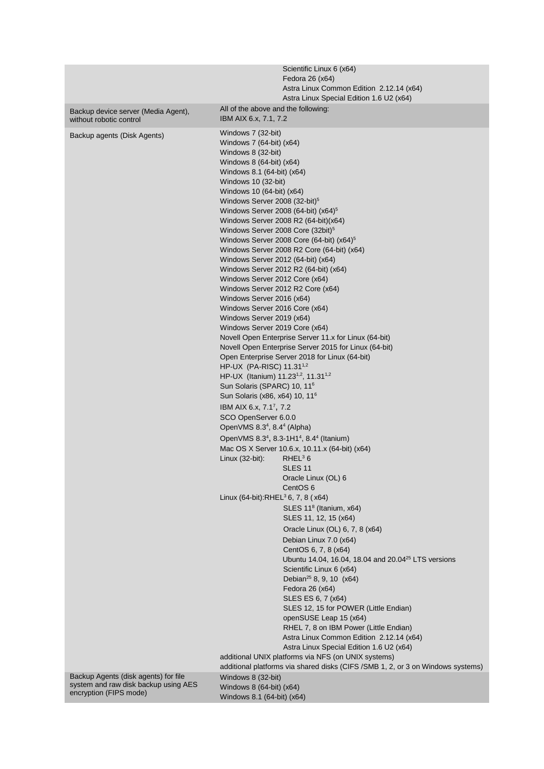|                                      | Scientific Linux 6 (x64)                                                         |
|--------------------------------------|----------------------------------------------------------------------------------|
|                                      | Fedora 26 (x64)                                                                  |
|                                      | Astra Linux Common Edition 2.12.14 (x64)                                         |
|                                      | Astra Linux Special Edition 1.6 U2 (x64)                                         |
| Backup device server (Media Agent),  | All of the above and the following:                                              |
| without robotic control              | IBM AIX 6.x, 7.1, 7.2                                                            |
|                                      | Windows 7 (32-bit)                                                               |
| Backup agents (Disk Agents)          | Windows 7 (64-bit) (x64)                                                         |
|                                      | Windows 8 (32-bit)                                                               |
|                                      | Windows 8 (64-bit) (x64)                                                         |
|                                      | Windows 8.1 (64-bit) (x64)                                                       |
|                                      | Windows 10 (32-bit)                                                              |
|                                      | Windows 10 (64-bit) (x64)                                                        |
|                                      | Windows Server 2008 (32-bit) <sup>5</sup>                                        |
|                                      | Windows Server 2008 (64-bit) (x64) <sup>5</sup>                                  |
|                                      | Windows Server 2008 R2 (64-bit)(x64)                                             |
|                                      | Windows Server 2008 Core (32bit) <sup>5</sup>                                    |
|                                      | Windows Server 2008 Core (64-bit) (x64) <sup>5</sup>                             |
|                                      | Windows Server 2008 R2 Core (64-bit) (x64)                                       |
|                                      |                                                                                  |
|                                      | Windows Server 2012 (64-bit) (x64)                                               |
|                                      | Windows Server 2012 R2 (64-bit) (x64)<br>Windows Server 2012 Core (x64)          |
|                                      | Windows Server 2012 R2 Core (x64)                                                |
|                                      | Windows Server 2016 (x64)                                                        |
|                                      | Windows Server 2016 Core (x64)                                                   |
|                                      | Windows Server 2019 (x64)                                                        |
|                                      | Windows Server 2019 Core (x64)                                                   |
|                                      | Novell Open Enterprise Server 11.x for Linux (64-bit)                            |
|                                      | Novell Open Enterprise Server 2015 for Linux (64-bit)                            |
|                                      | Open Enterprise Server 2018 for Linux (64-bit)                                   |
|                                      | HP-UX (PA-RISC) 11.31 <sup>1,2</sup>                                             |
|                                      | HP-UX (Itanium) 11.23 <sup>1,2</sup> , 11.31 <sup>1,2</sup>                      |
|                                      | Sun Solaris (SPARC) 10, 11 <sup>6</sup>                                          |
|                                      | Sun Solaris (x86, x64) 10, 11 <sup>6</sup>                                       |
|                                      |                                                                                  |
|                                      | IBM AIX 6.x, 7.1 <sup>7</sup> , 7.2                                              |
|                                      | SCO OpenServer 6.0.0                                                             |
|                                      | OpenVMS 8.3 <sup>4</sup> , 8.4 <sup>4</sup> (Alpha)                              |
|                                      | OpenVMS 8.34, 8.3-1H14, 8.44 (Itanium)                                           |
|                                      | Mac OS X Server 10.6.x, 10.11.x (64-bit) (x64)                                   |
|                                      | RHEL <sup>3</sup> 6<br>Linux (32-bit):                                           |
|                                      | <b>SLES 11</b>                                                                   |
|                                      | Oracle Linux (OL) 6                                                              |
|                                      | CentOS <sub>6</sub>                                                              |
|                                      | Linux (64-bit):RHEL <sup>3</sup> 6, 7, 8 (x64)                                   |
|                                      | SLES 11 <sup>8</sup> (Itanium, x64)                                              |
|                                      | SLES 11, 12, 15 (x64)                                                            |
|                                      | Oracle Linux (OL) 6, 7, 8 (x64)                                                  |
|                                      | Debian Linux 7.0 (x64)                                                           |
|                                      | CentOS 6, 7, 8 (x64)                                                             |
|                                      | Ubuntu 14.04, 16.04, 18.04 and 20.04 <sup>25</sup> LTS versions                  |
|                                      | Scientific Linux 6 (x64)                                                         |
|                                      | Debian <sup>25</sup> 8, 9, 10 ( $x64$ )                                          |
|                                      | Fedora 26 (x64)                                                                  |
|                                      | SLES ES 6, 7 (x64)                                                               |
|                                      | SLES 12, 15 for POWER (Little Endian)                                            |
|                                      | openSUSE Leap 15 (x64)                                                           |
|                                      | RHEL 7, 8 on IBM Power (Little Endian)                                           |
|                                      | Astra Linux Common Edition 2.12.14 (x64)                                         |
|                                      | Astra Linux Special Edition 1.6 U2 (x64)                                         |
|                                      | additional UNIX platforms via NFS (on UNIX systems)                              |
|                                      | additional platforms via shared disks (CIFS / SMB 1, 2, or 3 on Windows systems) |
| Backup Agents (disk agents) for file | Windows 8 (32-bit)                                                               |
| system and raw disk backup using AES | Windows 8 (64-bit) (x64)                                                         |
| encryption (FIPS mode)               | Windows 8.1 (64-bit) (x64)                                                       |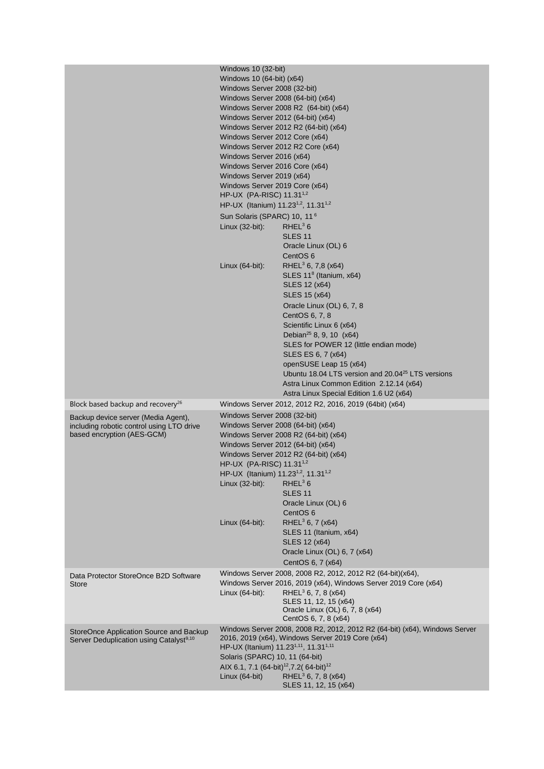|                                                                                                                | Windows 10 (32-bit)<br>Windows 10 (64-bit) (x64)<br>Windows Server 2008 (32-bit)<br>Windows Server 2012 Core (x64)<br>Windows Server 2016 (x64)<br>Windows Server 2016 Core (x64)<br>Windows Server 2019 (x64)<br>Windows Server 2019 Core (x64)<br>HP-UX (PA-RISC) 11.31 <sup>1,2</sup><br>HP-UX (Itanium) 11.23 <sup>1,2</sup> , 11.31 <sup>1,2</sup><br>Sun Solaris (SPARC) 10, 11 <sup>6</sup><br>Linux $(32-bit)$ :<br>Linux $(64-bit)$ : | Windows Server 2008 (64-bit) (x64)<br>Windows Server 2008 R2 (64-bit) (x64)<br>Windows Server 2012 (64-bit) (x64)<br>Windows Server 2012 R2 (64-bit) (x64)<br>Windows Server 2012 R2 Core (x64)<br>RHEL <sup>3</sup> 6<br><b>SLES 11</b><br>Oracle Linux (OL) 6<br>CentOS 6<br>RHEL <sup>3</sup> 6, 7,8 ( $x64$ )<br>SLES 11 <sup>8</sup> (Itanium, x64)<br>SLES 12 (x64)<br><b>SLES 15 (x64)</b><br>Oracle Linux (OL) 6, 7, 8<br>CentOS 6, 7, 8<br>Scientific Linux 6 (x64)<br>Debian <sup>25</sup> 8, 9, 10 $(x64)$<br>SLES for POWER 12 (little endian mode)<br>SLES ES 6, 7 (x64)<br>openSUSE Leap 15 (x64)<br>Ubuntu 18.04 LTS version and 20.04 <sup>25</sup> LTS versions<br>Astra Linux Common Edition 2.12.14 (x64) |
|----------------------------------------------------------------------------------------------------------------|------------------------------------------------------------------------------------------------------------------------------------------------------------------------------------------------------------------------------------------------------------------------------------------------------------------------------------------------------------------------------------------------------------------------------------------------|------------------------------------------------------------------------------------------------------------------------------------------------------------------------------------------------------------------------------------------------------------------------------------------------------------------------------------------------------------------------------------------------------------------------------------------------------------------------------------------------------------------------------------------------------------------------------------------------------------------------------------------------------------------------------------------------------------------------------|
| Block based backup and recovery <sup>26</sup>                                                                  |                                                                                                                                                                                                                                                                                                                                                                                                                                                | Astra Linux Special Edition 1.6 U2 (x64)<br>Windows Server 2012, 2012 R2, 2016, 2019 (64bit) (x64)                                                                                                                                                                                                                                                                                                                                                                                                                                                                                                                                                                                                                           |
| Backup device server (Media Agent),<br>including robotic control using LTO drive<br>based encryption (AES-GCM) | Windows Server 2008 (32-bit)<br>HP-UX (PA-RISC) 11.31 <sup>1,2</sup><br>HP-UX (Itanium) 11.23 <sup>1,2</sup> , 11.31 <sup>1,2</sup><br>Linux (32-bit):<br>Linux (64-bit):                                                                                                                                                                                                                                                                      | Windows Server 2008 (64-bit) (x64)<br>Windows Server 2008 R2 (64-bit) (x64)<br>Windows Server 2012 (64-bit) (x64)<br>Windows Server 2012 R2 (64-bit) (x64)<br>$RHEL^3 6$<br><b>SLES 11</b><br>Oracle Linux (OL) 6<br>CentOS <sub>6</sub><br>RHEL <sup>3</sup> 6, 7 ( $x64$ )<br>SLES 11 (Itanium, x64)<br>SLES 12 (x64)<br>Oracle Linux (OL) 6, 7 (x64)<br>CentOS 6, 7 (x64)                                                                                                                                                                                                                                                                                                                                                 |
| Data Protector StoreOnce B2D Software<br>Store                                                                 | Linux $(64$ -bit):                                                                                                                                                                                                                                                                                                                                                                                                                             | Windows Server 2008, 2008 R2, 2012, 2012 R2 (64-bit)(x64),<br>Windows Server 2016, 2019 (x64), Windows Server 2019 Core (x64)<br>RHEL <sup>3</sup> 6, 7, 8 ( $x64$ )<br>SLES 11, 12, 15 (x64)<br>Oracle Linux (OL) 6, 7, 8 (x64)<br>CentOS 6, 7, 8 (x64)                                                                                                                                                                                                                                                                                                                                                                                                                                                                     |
| StoreOnce Application Source and Backup<br>Server Deduplication using Catalyst <sup>9,10</sup>                 | HP-UX (Itanium) 11.23 <sup>1,11</sup> , 11.31 <sup>1,11</sup><br>Solaris (SPARC) 10, 11 (64-bit)<br>AIX 6.1, 7.1 (64-bit) <sup>12</sup> , 7.2 (64-bit) <sup>12</sup><br>Linux (64-bit)                                                                                                                                                                                                                                                         | Windows Server 2008, 2008 R2, 2012, 2012 R2 (64-bit) (x64), Windows Server<br>2016, 2019 (x64), Windows Server 2019 Core (x64)<br>RHEL <sup>3</sup> 6, 7, 8 ( $x64$ )<br>SLES 11, 12, 15 (x64)                                                                                                                                                                                                                                                                                                                                                                                                                                                                                                                               |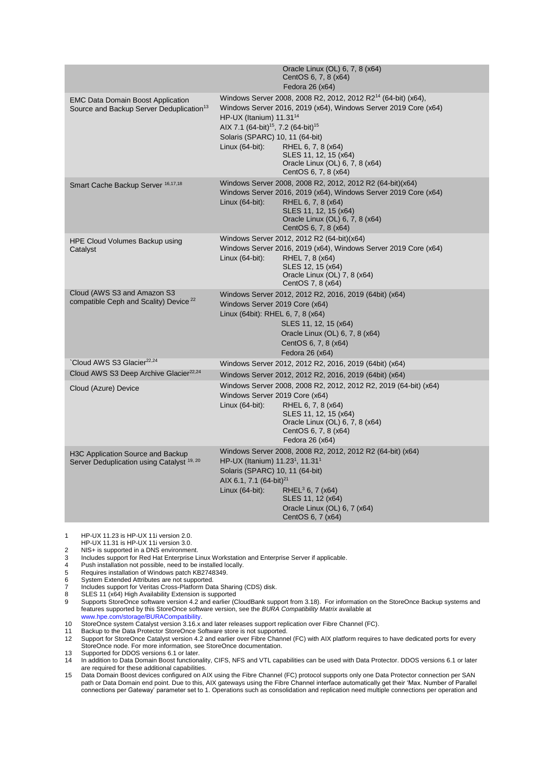|                                                                                                  | Oracle Linux (OL) 6, 7, 8 (x64)<br>CentOS 6, 7, 8 (x64)<br>Fedora 26 (x64)                                                                                                                                                                                                                                                                                                                                     |
|--------------------------------------------------------------------------------------------------|----------------------------------------------------------------------------------------------------------------------------------------------------------------------------------------------------------------------------------------------------------------------------------------------------------------------------------------------------------------------------------------------------------------|
| <b>EMC Data Domain Boost Application</b><br>Source and Backup Server Deduplication <sup>13</sup> | Windows Server 2008, 2008 R2, 2012, 2012 R2 <sup>14</sup> (64-bit) (x64),<br>Windows Server 2016, 2019 (x64), Windows Server 2019 Core (x64)<br>HP-UX (Itanium) $11.31^{14}$<br>AIX 7.1 (64-bit) <sup>15</sup> , 7.2 (64-bit) <sup>15</sup><br>Solaris (SPARC) 10, 11 (64-bit)<br>Linux $(64$ -bit):<br>RHEL 6, 7, 8 (x64)<br>SLES 11, 12, 15 (x64)<br>Oracle Linux (OL) 6, 7, 8 (x64)<br>CentOS 6, 7, 8 (x64) |
| Smart Cache Backup Server <sup>16,17,18</sup>                                                    | Windows Server 2008, 2008 R2, 2012, 2012 R2 (64-bit)(x64)<br>Windows Server 2016, 2019 (x64), Windows Server 2019 Core (x64)<br>Linux $(64-bit)$ :<br>RHEL 6, 7, 8 (x64)<br>SLES 11, 12, 15 (x64)<br>Oracle Linux (OL) 6, 7, 8 (x64)<br>CentOS 6, 7, 8 (x64)                                                                                                                                                   |
| HPE Cloud Volumes Backup using<br>Catalyst                                                       | Windows Server 2012, 2012 R2 (64-bit)(x64)<br>Windows Server 2016, 2019 (x64), Windows Server 2019 Core (x64)<br>Linux (64-bit):<br>RHEL 7, 8 (x64)<br>SLES 12, 15 (x64)<br>Oracle Linux (OL) 7, 8 (x64)<br>CentOS 7, 8 (x64)                                                                                                                                                                                  |
| Cloud (AWS S3 and Amazon S3<br>compatible Ceph and Scality) Device <sup>22</sup>                 | Windows Server 2012, 2012 R2, 2016, 2019 (64bit) (x64)<br>Windows Server 2019 Core (x64)<br>Linux (64bit): RHEL 6, 7, 8 (x64)<br>SLES 11, 12, 15 (x64)<br>Oracle Linux (OL) 6, 7, 8 (x64)<br>CentOS 6, 7, 8 (x64)<br>Fedora 26 (x64)                                                                                                                                                                           |
| Cloud AWS S3 Glacier <sup>22,24</sup>                                                            | Windows Server 2012, 2012 R2, 2016, 2019 (64bit) (x64)                                                                                                                                                                                                                                                                                                                                                         |
| Cloud AWS S3 Deep Archive Glacier <sup>22,24</sup>                                               | Windows Server 2012, 2012 R2, 2016, 2019 (64bit) (x64)                                                                                                                                                                                                                                                                                                                                                         |
| Cloud (Azure) Device                                                                             | Windows Server 2008, 2008 R2, 2012, 2012 R2, 2019 (64-bit) (x64)<br>Windows Server 2019 Core (x64)<br>Linux $(64$ -bit):<br>RHEL 6, 7, 8 (x64)<br>SLES 11, 12, 15 (x64)<br>Oracle Linux (OL) 6, 7, 8 (x64)<br>CentOS 6, 7, 8 (x64)<br>Fedora 26 (x64)                                                                                                                                                          |
| H3C Application Source and Backup<br>Server Deduplication using Catalyst <sup>19, 20</sup>       | Windows Server 2008, 2008 R2, 2012, 2012 R2 (64-bit) (x64)<br>HP-UX (Itanium) $11.23^1$ , $11.31^1$<br>Solaris (SPARC) 10, 11 (64-bit)<br>AIX 6.1, 7.1 (64-bit) <sup>21</sup><br>Linux $(64$ -bit):<br>RHEL <sup>3</sup> 6, 7 ( $x64$ )<br>SLES 11, 12 (x64)<br>Oracle Linux (OL) 6, 7 (x64)<br>CentOS 6, 7 (x64)                                                                                              |

1 HP-UX 11.23 is HP-UX 11i version 2.0.

HP-UX 11.31 is HP-UX 11i version 3.0.

2 NIS+ is supported in a DNS environment.

3 Includes support for Red Hat Enterprise Linux Workstation and Enterprise Server if applicable.

4 Push installation not possible, need to be installed locally.

5 Requires installation of Windows patch KB2748349.<br>6 System Extended Attributes are not supported.

6 System Extended Attributes are not supported.

1<br>7 Includes support for Veritas Cross-Platform Data Sharing (CDS) disk.<br>8 SLES 11 (x64) High Availability Extension is supported

8 SLES 11 (x64) High Availability Extension is supported<br>9 Supports StoreOnce software version 4.2 and earlier (C 9 Supports StoreOnce software version 4.2 and earlier (CloudBank support from 3.18). For information on the StoreOnce Backup systems and features supported by this StoreOnce software version, see the *BURA Compatibility Matrix* available at

[www.hpe.com/storage/BURACompatibility.](http://www.hpe.com/storage/BURACompatibility) 10 StoreOnce system Catalyst version 3.16.x and later releases support replication over Fibre Channel (FC).

11 Backup to the Data Protector StoreOnce Software store is not supported.<br>12 Support for StoreOnce Catalyst version 4.2 and earlier over Fibre Channe

12 Support for StoreOnce Catalyst version 4.2 and earlier over Fibre Channel (FC) with AIX platform requires to have dedicated ports for every StoreOnce node. For more information, see StoreOnce documentation.

13 Supported for DDOS versions 6.1 or later.<br>14 In addition to Data Domain Boost functiona In addition to Data Domain Boost functionality, CIFS, NFS and VTL capabilities can be used with Data Protector. DDOS versions 6.1 or later are required for these additional capabilities.

15 Data Domain Boost devices configured on AIX using the Fibre Channel (FC) protocol supports only one Data Protector connection per SAN path or Data Domain end point. Due to this, AIX gateways using the Fibre Channel interface automatically get their 'Max. Number of Parallel connections per Gateway' parameter set to 1. Operations such as consolidation and replication need multiple connections per operation and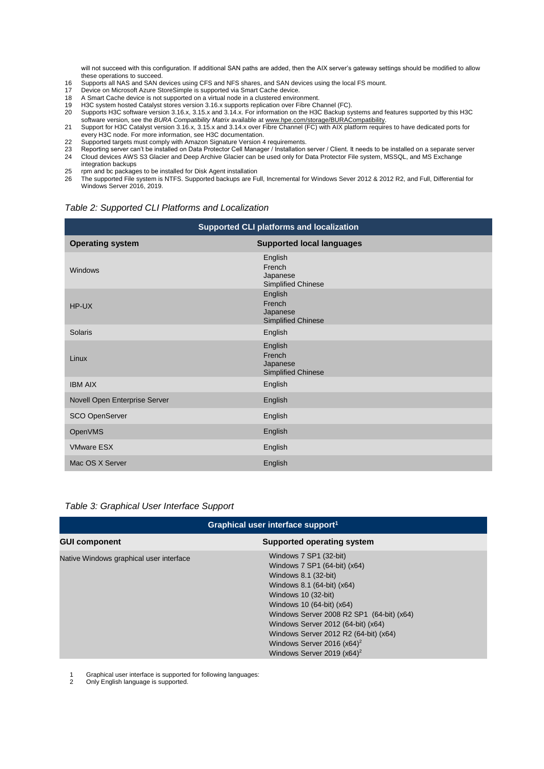will not succeed with this configuration. If additional SAN paths are added, then the AIX server's gateway settings should be modified to allow these operations to succeed.

- 16 Supports all NAS and SAN devices using CFS and NFS shares, and SAN devices using the local FS mount.
- 17 Device on Microsoft Azure StoreSimple is supported via Smart Cache device.
- 18 A Smart Cache device is not supported on a virtual node in a clustered environment.<br>19 H3C system hosted Catalyst stores version 3.16.x supports replication over Fibre Ch
- 19 H3C system hosted Catalyst stores version 3.16.x supports replication over Fibre Channel (FC).
- 20 Supports H3C software version 3.16.x, 3.15.x and 3.14.x. For information on the H3C Backup systems and features supported by this H3C software version, see the *BURA Compatibility Matrix* available a[t www.hpe.com/storage/BURACompatibility.](http://www.hpe.com/storage/BURACompatibility)
- 21 Support for H3C Catalyst version 3.16.x, 3.15.x and 3.14.x over Fibre Channel (FC) with AIX platform requires to have dedicated ports for every H3C node. For more information, see H3C documentation.
- 22 Supported targets must comply with Amazon Signature Version 4 requirements.
- 23 Reporting server can't be installed on Data Protector Cell Manager / Installation server / Client. It needs to be installed on a separate server 24 Cloud devices AWS S3 Glacier and Deep Archive Glacier can be used only for Data Protector File system, MSSQL, and MS Exchange
- integration backups
- 25 rpm and bc packages to be installed for Disk Agent installation
- 26 The supported File system is NTFS. Supported backups are Full, Incremental for Windows Sever 2012 & 2012 R2, and Full, Differential for Windows Server 2016, 2019.

<span id="page-8-0"></span>

| <b>Supported CLI platforms and localization</b> |                                                            |  |  |  |
|-------------------------------------------------|------------------------------------------------------------|--|--|--|
| <b>Operating system</b>                         | <b>Supported local languages</b>                           |  |  |  |
| Windows                                         | English<br>French<br>Japanese<br>Simplified Chinese        |  |  |  |
| HP-UX                                           | English<br>French<br>Japanese<br><b>Simplified Chinese</b> |  |  |  |
| Solaris                                         | English                                                    |  |  |  |
| Linux                                           | English<br>French<br>Japanese<br><b>Simplified Chinese</b> |  |  |  |
| <b>IBM AIX</b>                                  | English                                                    |  |  |  |
| Novell Open Enterprise Server                   | English                                                    |  |  |  |
| SCO OpenServer                                  | English                                                    |  |  |  |
| OpenVMS                                         | English                                                    |  |  |  |
| <b>VMware ESX</b>                               | English                                                    |  |  |  |
| Mac OS X Server                                 | English                                                    |  |  |  |

<span id="page-8-1"></span>*Table 3: Graphical User Interface Support*

| Graphical user interface support <sup>1</sup> |                                                                                                                                                                                                                                                                                                                                                                |  |  |
|-----------------------------------------------|----------------------------------------------------------------------------------------------------------------------------------------------------------------------------------------------------------------------------------------------------------------------------------------------------------------------------------------------------------------|--|--|
| <b>GUI component</b>                          | Supported operating system                                                                                                                                                                                                                                                                                                                                     |  |  |
| Native Windows graphical user interface       | Windows 7 SP1 (32-bit)<br>Windows 7 SP1 (64-bit) (x64)<br>Windows 8.1 (32-bit)<br>Windows 8.1 (64-bit) (x64)<br>Windows 10 (32-bit)<br>Windows 10 (64-bit) (x64)<br>Windows Server 2008 R2 SP1 (64-bit) (x64)<br>Windows Server 2012 (64-bit) (x64)<br>Windows Server 2012 R2 (64-bit) (x64)<br>Windows Server 2016 $(x64)^2$<br>Windows Server 2019 $(x64)^2$ |  |  |

1 Graphical user interface is supported for following languages:

Only English language is supported.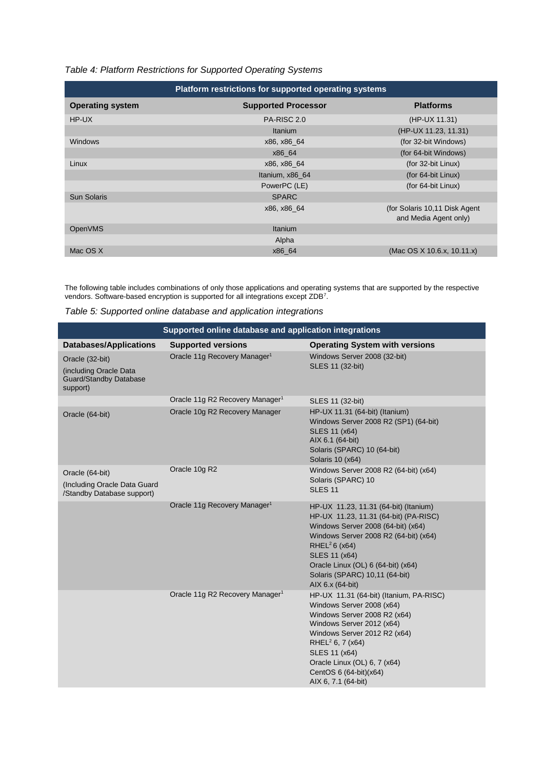### <span id="page-9-0"></span>*Table 4: Platform Restrictions for Supported Operating Systems*

| Platform restrictions for supported operating systems |                            |                                                        |  |  |
|-------------------------------------------------------|----------------------------|--------------------------------------------------------|--|--|
| <b>Operating system</b>                               | <b>Supported Processor</b> | <b>Platforms</b>                                       |  |  |
| HP-UX                                                 | PA-RISC 2.0                | (HP-UX 11.31)                                          |  |  |
|                                                       | Itanium                    | (HP-UX 11.23, 11.31)                                   |  |  |
| <b>Windows</b>                                        | x86, x86 64                | (for 32-bit Windows)                                   |  |  |
|                                                       | x86 64                     | (for 64-bit Windows)                                   |  |  |
| Linux                                                 | x86, x86 64                | (for 32-bit Linux)                                     |  |  |
|                                                       | Itanium, x86 64            | (for 64-bit Linux)                                     |  |  |
|                                                       | PowerPC (LE)               | (for 64-bit Linux)                                     |  |  |
| <b>Sun Solaris</b>                                    | <b>SPARC</b>               |                                                        |  |  |
|                                                       | x86, x86 64                | (for Solaris 10,11 Disk Agent<br>and Media Agent only) |  |  |
| <b>OpenVMS</b>                                        | <b>Itanium</b>             |                                                        |  |  |
|                                                       | Alpha                      |                                                        |  |  |
| Mac OS X                                              | x86 64                     | (Mac OS X 10.6.x, 10.11.x)                             |  |  |

The following table includes combinations of only those applications and operating systems that are supported by the respective vendors. Software-based encryption is supported for all integrations except ZDB<sup>7</sup>.

<span id="page-9-1"></span>

| Table 5: Supported online database and application integrations |  |  |  |
|-----------------------------------------------------------------|--|--|--|
|                                                                 |  |  |  |

| Supported online database and application integrations                                 |                                             |                                                                                                                                                                                                                                                                                                         |  |  |
|----------------------------------------------------------------------------------------|---------------------------------------------|---------------------------------------------------------------------------------------------------------------------------------------------------------------------------------------------------------------------------------------------------------------------------------------------------------|--|--|
| <b>Databases/Applications</b>                                                          | <b>Supported versions</b>                   | <b>Operating System with versions</b>                                                                                                                                                                                                                                                                   |  |  |
| Oracle (32-bit)<br>(including Oracle Data<br><b>Guard/Standby Database</b><br>support) | Oracle 11g Recovery Manager <sup>1</sup>    | Windows Server 2008 (32-bit)<br>SLES 11 (32-bit)                                                                                                                                                                                                                                                        |  |  |
|                                                                                        | Oracle 11g R2 Recovery Manager <sup>1</sup> | SLES 11 (32-bit)                                                                                                                                                                                                                                                                                        |  |  |
| Oracle (64-bit)                                                                        | Oracle 10g R2 Recovery Manager              | HP-UX 11.31 (64-bit) (Itanium)<br>Windows Server 2008 R2 (SP1) (64-bit)<br>SLES 11 (x64)<br>AIX 6.1 (64-bit)<br>Solaris (SPARC) 10 (64-bit)<br>Solaris 10 (x64)                                                                                                                                         |  |  |
| Oracle (64-bit)<br>(Including Oracle Data Guard<br>/Standby Database support)          | Oracle 10g R2                               | Windows Server 2008 R2 (64-bit) (x64)<br>Solaris (SPARC) 10<br><b>SLES 11</b>                                                                                                                                                                                                                           |  |  |
|                                                                                        | Oracle 11g Recovery Manager <sup>1</sup>    | HP-UX 11.23, 11.31 (64-bit) (Itanium)<br>HP-UX 11.23, 11.31 (64-bit) (PA-RISC)<br>Windows Server 2008 (64-bit) (x64)<br>Windows Server 2008 R2 (64-bit) (x64)<br>RHEL $26$ (x64)<br>SLES 11 (x64)<br>Oracle Linux (OL) 6 (64-bit) (x64)<br>Solaris (SPARC) 10,11 (64-bit)<br>AIX 6.x (64-bit)           |  |  |
|                                                                                        | Oracle 11g R2 Recovery Manager <sup>1</sup> | HP-UX 11.31 (64-bit) (Itanium, PA-RISC)<br>Windows Server 2008 (x64)<br>Windows Server 2008 R2 (x64)<br>Windows Server 2012 (x64)<br>Windows Server 2012 R2 (x64)<br>RHEL <sup>2</sup> 6, 7 ( $x64$ )<br>SLES 11 (x64)<br>Oracle Linux (OL) 6, 7 (x64)<br>CentOS 6 (64-bit)(x64)<br>AIX 6, 7.1 (64-bit) |  |  |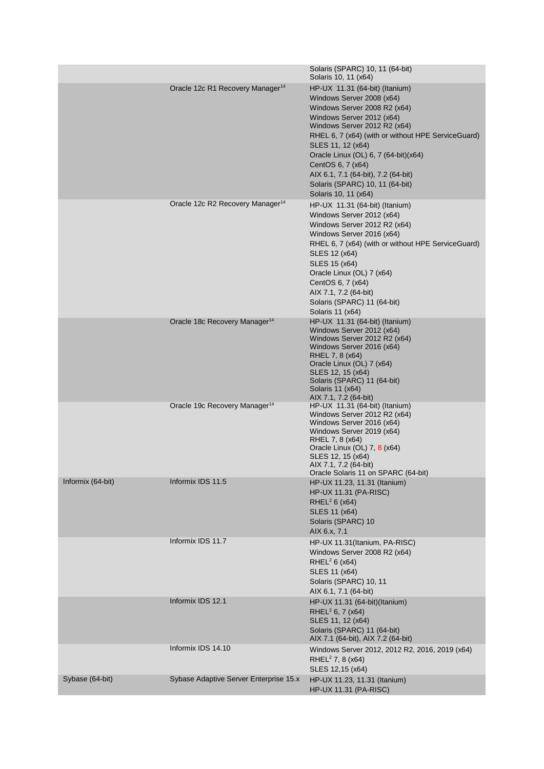|                   |                                              | Solaris (SPARC) 10, 11 (64-bit)<br>Solaris 10, 11 (x64)                                                                                                                                                                                                                                                                                                                                            |
|-------------------|----------------------------------------------|----------------------------------------------------------------------------------------------------------------------------------------------------------------------------------------------------------------------------------------------------------------------------------------------------------------------------------------------------------------------------------------------------|
|                   | Oracle 12c R1 Recovery Manager <sup>14</sup> | HP-UX 11.31 (64-bit) (Itanium)<br>Windows Server 2008 (x64)<br>Windows Server 2008 R2 (x64)<br>Windows Server 2012 (x64)<br>Windows Server 2012 R2 (x64)<br>RHEL 6, 7 (x64) (with or without HPE ServiceGuard)<br>SLES 11, 12 (x64)<br>Oracle Linux (OL) 6, 7 (64-bit)(x64)<br>CentOS 6, 7 (x64)<br>AIX 6.1, 7.1 (64-bit), 7.2 (64-bit)<br>Solaris (SPARC) 10, 11 (64-bit)<br>Solaris 10, 11 (x64) |
|                   | Oracle 12c R2 Recovery Manager <sup>14</sup> | HP-UX 11.31 (64-bit) (Itanium)<br>Windows Server 2012 (x64)<br>Windows Server 2012 R2 (x64)<br>Windows Server 2016 (x64)<br>RHEL 6, 7 (x64) (with or without HPE ServiceGuard)<br>SLES 12 (x64)<br>SLES 15 (x64)<br>Oracle Linux (OL) 7 (x64)<br>CentOS 6, 7 (x64)<br>AIX 7.1, 7.2 (64-bit)<br>Solaris (SPARC) 11 (64-bit)<br>Solaris 11 (x64)                                                     |
|                   | Oracle 18c Recovery Manager <sup>14</sup>    | HP-UX 11.31 (64-bit) (Itanium)<br>Windows Server 2012 (x64)<br>Windows Server 2012 R2 (x64)<br>Windows Server 2016 (x64)<br>RHEL 7, 8 (x64)<br>Oracle Linux (OL) 7 (x64)<br>SLES 12, 15 (x64)<br>Solaris (SPARC) 11 (64-bit)<br>Solaris 11 (x64)<br>AIX 7.1, 7.2 (64-bit)                                                                                                                          |
|                   | Oracle 19c Recovery Manager <sup>14</sup>    | $HP$ -UX 11.31 (64-bit) (Itanium)<br>Windows Server 2012 R2 (x64)<br>Windows Server 2016 (x64)<br>Windows Server 2019 (x64)<br>RHEL 7, 8 (x64)<br>Oracle Linux (OL) 7, 8 (x64)<br>SLES 12, 15 (x64)<br>AIX 7.1, 7.2 (64-bit)<br>Oracle Solaris 11 on SPARC (64-bit)                                                                                                                                |
| Informix (64-bit) | Informix IDS 11.5                            | HP-UX 11.23, 11.31 (Itanium)<br><b>HP-UX 11.31 (PA-RISC)</b><br>RHEL <sup>2</sup> 6 ( $x64$ )<br>SLES 11 (x64)<br>Solaris (SPARC) 10<br>AIX 6.x, 7.1                                                                                                                                                                                                                                               |
|                   | Informix IDS 11.7                            | HP-UX 11.31(Itanium, PA-RISC)<br>Windows Server 2008 R2 (x64)<br>RHEL <sup>2</sup> 6 ( $x64$ )<br>SLES 11 (x64)<br>Solaris (SPARC) 10, 11<br>AIX 6.1, 7.1 (64-bit)                                                                                                                                                                                                                                 |
|                   | Informix IDS 12.1                            | HP-UX 11.31 (64-bit)(Itanium)<br>RHEL <sup>2</sup> 6, 7 (x64)<br>SLES 11, 12 (x64)<br>Solaris (SPARC) 11 (64-bit)<br>AIX 7.1 (64-bit), AIX 7.2 (64-bit)                                                                                                                                                                                                                                            |
|                   | Informix IDS 14.10                           | Windows Server 2012, 2012 R2, 2016, 2019 (x64)<br>RHEL <sup>2</sup> 7, 8 ( $x64$ )<br>SLES 12,15 (x64)                                                                                                                                                                                                                                                                                             |
| Sybase (64-bit)   | Sybase Adaptive Server Enterprise 15.x       | HP-UX 11.23, 11.31 (Itanium)<br><b>HP-UX 11.31 (PA-RISC)</b>                                                                                                                                                                                                                                                                                                                                       |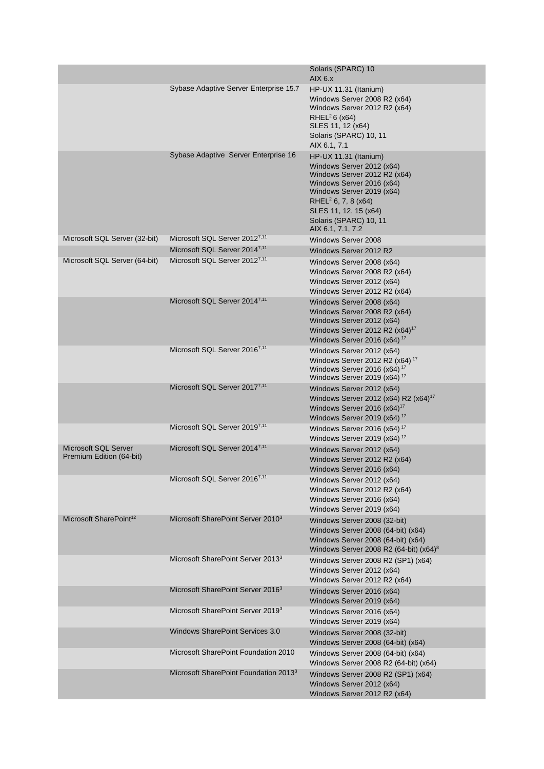|                                                  |                                                   | Solaris (SPARC) 10<br>AIX 6.x                                                                                                                                                                                                                               |
|--------------------------------------------------|---------------------------------------------------|-------------------------------------------------------------------------------------------------------------------------------------------------------------------------------------------------------------------------------------------------------------|
|                                                  | Sybase Adaptive Server Enterprise 15.7            | HP-UX 11.31 (Itanium)<br>Windows Server 2008 R2 (x64)<br>Windows Server 2012 R2 (x64)<br>RHEL <sup>2</sup> 6 ( $x64$ )<br>SLES 11, 12 (x64)<br>Solaris (SPARC) 10, 11<br>AIX 6.1, 7.1                                                                       |
|                                                  | Sybase Adaptive Server Enterprise 16              | HP-UX 11.31 (Itanium)<br>Windows Server 2012 (x64)<br>Windows Server 2012 R2 (x64)<br>Windows Server 2016 (x64)<br>Windows Server 2019 (x64)<br>RHEL <sup>2</sup> 6, 7, 8 ( $x64$ )<br>SLES 11, 12, 15 (x64)<br>Solaris (SPARC) 10, 11<br>AIX 6.1, 7.1, 7.2 |
| Microsoft SQL Server (32-bit)                    | Microsoft SQL Server 2012 <sup>7,11</sup>         | Windows Server 2008                                                                                                                                                                                                                                         |
|                                                  | Microsoft SQL Server 2014 <sup>7,11</sup>         | Windows Server 2012 R2                                                                                                                                                                                                                                      |
| Microsoft SQL Server (64-bit)                    | Microsoft SQL Server 2012 <sup>7,11</sup>         | Windows Server 2008 (x64)<br>Windows Server 2008 R2 (x64)<br>Windows Server 2012 (x64)<br>Windows Server 2012 R2 (x64)                                                                                                                                      |
|                                                  | Microsoft SQL Server 2014 <sup>7,11</sup>         | Windows Server 2008 (x64)<br>Windows Server 2008 R2 (x64)<br>Windows Server 2012 (x64)<br>Windows Server 2012 R2 (x64) <sup>17</sup><br>Windows Server 2016 (x64) <sup>17</sup>                                                                             |
|                                                  | Microsoft SQL Server 2016 <sup>7,11</sup>         | Windows Server 2012 (x64)<br>Windows Server 2012 R2 (x64) <sup>17</sup><br>Windows Server 2016 (x64) $17$<br>Windows Server 2019 (x64) <sup>17</sup>                                                                                                        |
|                                                  | Microsoft SQL Server 2017 <sup>7,11</sup>         | Windows Server 2012 (x64)<br>Windows Server 2012 (x64) R2 (x64) <sup>17</sup><br>Windows Server 2016 $(x64)^{17}$<br>Windows Server 2019 (x64) <sup>17</sup>                                                                                                |
|                                                  | Microsoft SQL Server 2019 <sup>7,11</sup>         | Windows Server 2016 (x64) <sup>17</sup><br>Windows Server 2019 (x64) <sup>17</sup>                                                                                                                                                                          |
| Microsoft SQL Server<br>Premium Edition (64-bit) | Microsoft SQL Server 2014 <sup>7,11</sup>         | Windows Server 2012 (x64)<br>Windows Server 2012 R2 (x64)<br>Windows Server 2016 (x64)                                                                                                                                                                      |
|                                                  | Microsoft SQL Server 2016 <sup>7,11</sup>         | Windows Server 2012 (x64)<br>Windows Server 2012 R2 (x64)<br>Windows Server 2016 (x64)<br>Windows Server 2019 (x64)                                                                                                                                         |
| Microsoft SharePoint <sup>12</sup>               | Microsoft SharePoint Server 2010 <sup>3</sup>     | Windows Server 2008 (32-bit)<br>Windows Server 2008 (64-bit) (x64)<br>Windows Server 2008 (64-bit) (x64)<br>Windows Server 2008 R2 (64-bit) (x64) <sup>8</sup>                                                                                              |
|                                                  | Microsoft SharePoint Server 2013 <sup>3</sup>     | Windows Server 2008 R2 (SP1) (x64)<br>Windows Server 2012 (x64)<br>Windows Server 2012 R2 (x64)                                                                                                                                                             |
|                                                  | Microsoft SharePoint Server 2016 <sup>3</sup>     | Windows Server 2016 (x64)<br>Windows Server 2019 (x64)                                                                                                                                                                                                      |
|                                                  | Microsoft SharePoint Server 2019 <sup>3</sup>     | Windows Server 2016 (x64)<br>Windows Server 2019 (x64)                                                                                                                                                                                                      |
|                                                  | <b>Windows SharePoint Services 3.0</b>            | Windows Server 2008 (32-bit)<br>Windows Server 2008 (64-bit) (x64)                                                                                                                                                                                          |
|                                                  | Microsoft SharePoint Foundation 2010              | Windows Server 2008 (64-bit) (x64)<br>Windows Server 2008 R2 (64-bit) (x64)                                                                                                                                                                                 |
|                                                  | Microsoft SharePoint Foundation 2013 <sup>3</sup> | Windows Server 2008 R2 (SP1) (x64)<br>Windows Server 2012 (x64)<br>Windows Server 2012 R2 (x64)                                                                                                                                                             |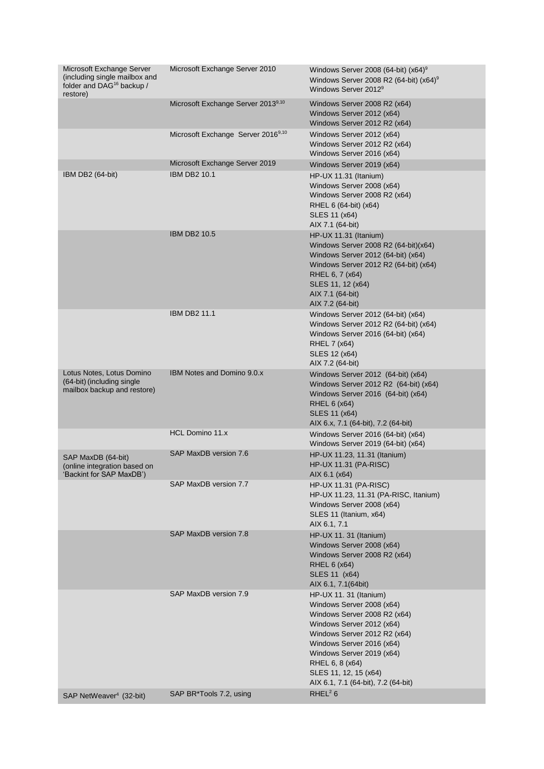| Microsoft Exchange Server<br>(including single mailbox and<br>folder and DAG <sup>16</sup> backup / | Microsoft Exchange Server 2010                 | Windows Server 2008 (64-bit) $(x64)^9$<br>Windows Server 2008 R2 (64-bit) $(x64)^9$<br>Windows Server 2012 <sup>9</sup>                                                                                                                                                                       |
|-----------------------------------------------------------------------------------------------------|------------------------------------------------|-----------------------------------------------------------------------------------------------------------------------------------------------------------------------------------------------------------------------------------------------------------------------------------------------|
| restore)                                                                                            | Microsoft Exchange Server 20139,10             | Windows Server 2008 R2 (x64)<br>Windows Server 2012 (x64)<br>Windows Server 2012 R2 (x64)                                                                                                                                                                                                     |
|                                                                                                     | Microsoft Exchange Server 2016 <sup>9,10</sup> | Windows Server 2012 (x64)<br>Windows Server 2012 R2 (x64)<br>Windows Server 2016 (x64)                                                                                                                                                                                                        |
|                                                                                                     | Microsoft Exchange Server 2019                 | Windows Server 2019 (x64)                                                                                                                                                                                                                                                                     |
| IBM DB2 (64-bit)                                                                                    | <b>IBM DB2 10.1</b>                            | HP-UX 11.31 (Itanium)<br>Windows Server 2008 (x64)<br>Windows Server 2008 R2 (x64)<br>RHEL 6 (64-bit) (x64)<br>SLES 11 (x64)<br>AIX 7.1 (64-bit)                                                                                                                                              |
|                                                                                                     | <b>IBM DB2 10.5</b>                            | $HP$ -UX 11.31 (Itanium)<br>Windows Server 2008 R2 (64-bit)(x64)<br>Windows Server 2012 (64-bit) (x64)<br>Windows Server 2012 R2 (64-bit) (x64)<br>RHEL 6, 7 (x64)<br>SLES 11, 12 (x64)<br>AIX 7.1 (64-bit)<br>AIX 7.2 (64-bit)                                                               |
|                                                                                                     | <b>IBM DB2 11.1</b>                            | Windows Server 2012 (64-bit) (x64)<br>Windows Server 2012 R2 (64-bit) (x64)<br>Windows Server 2016 (64-bit) (x64)<br>RHEL 7 (x64)<br>SLES 12 (x64)<br>AIX 7.2 (64-bit)                                                                                                                        |
| Lotus Notes, Lotus Domino<br>(64-bit) (including single<br>mailbox backup and restore)              | <b>IBM Notes and Domino 9.0.x</b>              | Windows Server 2012 (64-bit) (x64)<br>Windows Server 2012 R2 (64-bit) (x64)<br>Windows Server 2016 (64-bit) (x64)<br>RHEL 6 (x64)<br>SLES 11 (x64)<br>AIX 6.x, 7.1 (64-bit), 7.2 (64-bit)                                                                                                     |
|                                                                                                     | HCL Domino 11.x                                | Windows Server 2016 (64-bit) (x64)<br>Windows Server 2019 (64-bit) (x64)                                                                                                                                                                                                                      |
| SAP MaxDB (64-bit)<br>(online integration based on<br>'Backint for SAP MaxDB')                      | SAP MaxDB version 7.6                          | HP-UX 11.23, 11.31 (Itanium)<br><b>HP-UX 11.31 (PA-RISC)</b><br>AIX 6.1 (x64)                                                                                                                                                                                                                 |
|                                                                                                     | SAP MaxDB version 7.7                          | <b>HP-UX 11.31 (PA-RISC)</b><br>HP-UX 11.23, 11.31 (PA-RISC, Itanium)<br>Windows Server 2008 (x64)<br>SLES 11 (Itanium, x64)<br>AIX 6.1, 7.1                                                                                                                                                  |
|                                                                                                     | SAP MaxDB version 7.8                          | HP-UX 11. 31 (Itanium)<br>Windows Server 2008 (x64)<br>Windows Server 2008 R2 (x64)<br>RHEL 6 (x64)<br>SLES 11 (x64)<br>AIX 6.1, 7.1(64bit)                                                                                                                                                   |
|                                                                                                     | SAP MaxDB version 7.9                          | HP-UX 11. 31 (Itanium)<br>Windows Server 2008 (x64)<br>Windows Server 2008 R2 (x64)<br>Windows Server 2012 (x64)<br>Windows Server 2012 R2 (x64)<br>Windows Server 2016 (x64)<br>Windows Server 2019 (x64)<br>RHEL 6, 8 (x64)<br>SLES 11, 12, 15 (x64)<br>AIX 6.1, 7.1 (64-bit), 7.2 (64-bit) |
| SAP NetWeaver <sup>4</sup> (32-bit)                                                                 | SAP BR*Tools 7.2, using                        | RHEL <sup>2</sup> $6$                                                                                                                                                                                                                                                                         |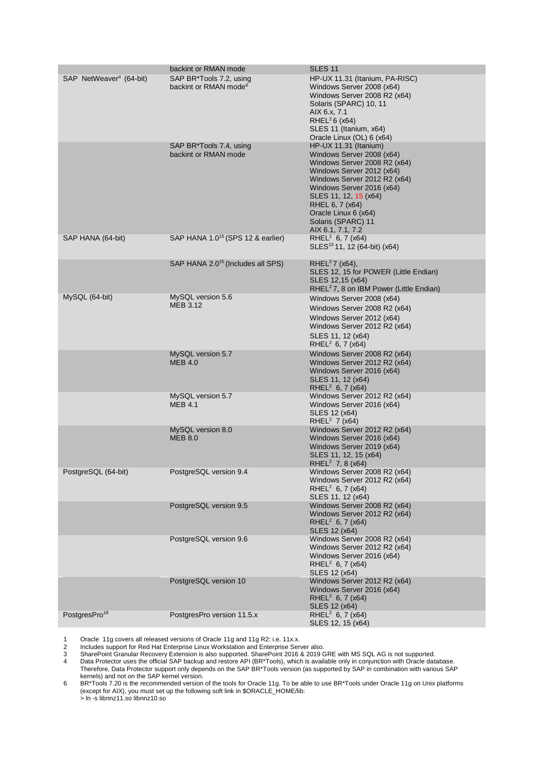| SAP NetWeaver <sup>4</sup> (64-bit) | backint or RMAN mode<br>SAP BR*Tools 7.2, using<br>backint or RMAN mode <sup>6</sup> | SLES <sub>11</sub><br>HP-UX 11.31 (Itanium, PA-RISC)<br>Windows Server 2008 (x64)<br>Windows Server 2008 R2 (x64)<br>Solaris (SPARC) 10, 11<br>AIX 6.x, 7.1<br>RHEL $26$ (x64)<br>SLES 11 (Itanium, x64)<br>Oracle Linux (OL) 6 (x64)                                                       |
|-------------------------------------|--------------------------------------------------------------------------------------|---------------------------------------------------------------------------------------------------------------------------------------------------------------------------------------------------------------------------------------------------------------------------------------------|
|                                     | SAP BR*Tools 7.4, using<br>backint or RMAN mode                                      | HP-UX 11.31 (Itanium)<br>Windows Server 2008 (x64)<br>Windows Server 2008 R2 (x64)<br>Windows Server 2012 (x64)<br>Windows Server 2012 R2 (x64)<br>Windows Server 2016 (x64)<br>SLES 11, 12, 15 (x64)<br>RHEL 6, 7 (x64)<br>Oracle Linux 6 (x64)<br>Solaris (SPARC) 11<br>AIX 6.1, 7.1, 7.2 |
| SAP HANA (64-bit)                   | SAP HANA 1.0 <sup>15</sup> (SPS 12 & earlier)                                        | RHEL <sup>2</sup> 6, 7 ( $x64$ )<br>SLES <sup>13</sup> 11, 12 (64-bit) (x64)                                                                                                                                                                                                                |
|                                     | SAP HANA 2.0 <sup>15</sup> (Includes all SPS)                                        | RHEL <sup>2</sup> 7 ( $x64$ ),<br>SLES 12, 15 for POWER (Little Endian)<br>SLES 12,15 (x64)<br>RHEL <sup>2</sup> 7, 8 on IBM Power (Little Endian)                                                                                                                                          |
| MySQL (64-bit)                      | MySQL version 5.6<br><b>MEB 3.12</b>                                                 | Windows Server 2008 (x64)<br>Windows Server 2008 R2 (x64)<br>Windows Server 2012 (x64)<br>Windows Server 2012 R2 (x64)<br>SLES 11, 12 (x64)<br>RHEL <sup>2</sup> 6, 7 ( $x64$ )                                                                                                             |
|                                     | MySQL version 5.7<br><b>MEB 4.0</b>                                                  | Windows Server 2008 R2 (x64)<br>Windows Server 2012 R2 (x64)<br>Windows Server 2016 (x64)<br>SLES 11, 12 (x64)<br>RHEL <sup>2</sup> 6, 7 (x64)                                                                                                                                              |
|                                     | MySQL version 5.7<br><b>MEB 4.1</b>                                                  | Windows Server 2012 R2 (x64)<br>Windows Server 2016 (x64)<br>SLES 12 (x64)<br>RHEL <sup>2</sup> 7 ( $x64$ )                                                                                                                                                                                 |
|                                     | MySQL version 8.0<br><b>MEB 8.0</b>                                                  | Windows Server 2012 R2 (x64)<br>Windows Server 2016 (x64)<br>Windows Server 2019 (x64)<br>SLES 11, 12, 15 (x64)<br>RHEL <sup>2</sup> 7, 8 ( $x64$ )                                                                                                                                         |
| PostgreSQL (64-bit)                 | PostgreSQL version 9.4                                                               | Windows Server 2008 R2 (x64)<br>Windows Server 2012 R2 (x64)<br>RHEL <sup>2</sup> 6, 7 ( $x64$ )<br>SLES 11, 12 (x64)                                                                                                                                                                       |
|                                     | PostgreSQL version 9.5                                                               | Windows Server 2008 R2 (x64)<br>Windows Server 2012 R2 (x64)<br>RHEL <sup>2</sup> 6, 7 (x64)<br>SLES 12 (x64)                                                                                                                                                                               |
|                                     | PostgreSQL version 9.6                                                               | Windows Server 2008 R2 (x64)<br>Windows Server 2012 R2 (x64)<br>Windows Server 2016 (x64)<br>RHEL <sup>2</sup> 6, 7 (x64)<br>SLES 12 (x64)                                                                                                                                                  |
|                                     | PostgreSQL version 10                                                                | Windows Server 2012 R2 (x64)<br>Windows Server 2016 (x64)<br>RHEL <sup>2</sup> 6, 7 ( $x64$ )<br>SLES 12 (x64)                                                                                                                                                                              |
| PostgresPro <sup>18</sup>           | PostgresPro version 11.5.x                                                           | RHEL <sup>2</sup> 6, 7 (x64)<br>SLES 12, 15 (x64)                                                                                                                                                                                                                                           |

1 Oracle 11g covers all released versions of Oracle 11g and 11g R2: i.e. 11x.x.

2 Includes support for Red Hat Enterprise Linux Workstation and Enterprise Server also.

3 SharePoint Granular Recovery Extension is also supported. SharePoint 2016 & 2019 GRE with MS SQL AG is not supported.

4 Data Protector uses the official SAP backup and restore API (BR\*Tools), which is available only in conjunction with Oracle database. Therefore, Data Protector support only depends on the SAP BR\*Tools version (as supported by SAP in combination with various SAP kernels) and not on the SAP kernel version.

6 BR\*Tools 7.20 is the recommended version of the tools for Oracle 11g. To be able to use BR\*Tools under Oracle 11g on Unix platforms (except for AIX), you must set up the following soft link in \$ORACLE\_HOME/lib: > ln -s libnnz11.so libnnz10.so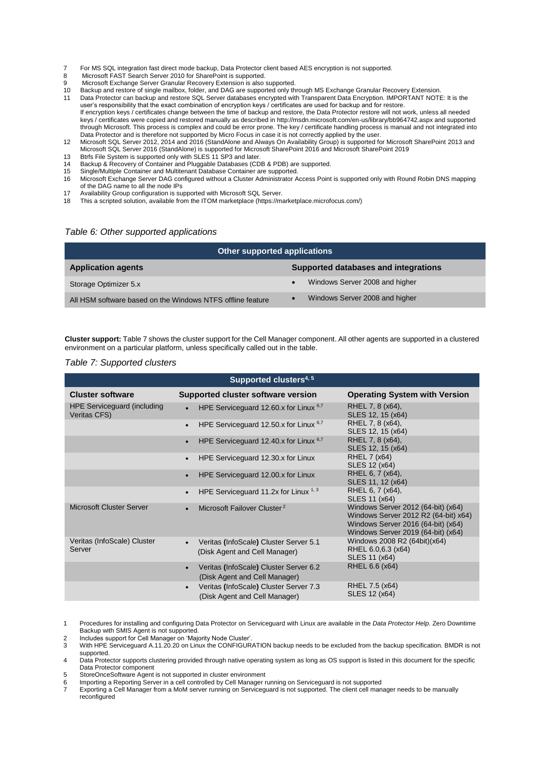- 7 For MS SQL integration fast direct mode backup, Data Protector client based AES encryption is not supported.<br>8 Microsoft EAST Search Server 2010 for SharePoint is supported
- Microsoft FAST Search Server 2010 for SharePoint is supported.
- 9 Microsoft Exchange Server Granular Recovery Extension is also supported.
- 10 Backup and restore of single mailbox, folder, and DAG are supported only through MS Exchange Granular Recovery Extension.
- 11 Data Protector can backup and restore SQL Server databases encrypted with Transparent Data Encryption. IMPORTANT NOTE: It is the user's responsibility that the exact combination of encryption keys / certificates are used for backup and for restore. If encryption keys / certificates change between the time of backup and restore, the Data Protector restore will not work, unless all needed keys / certificates were copied and restored manually as described in http://msdn.microsoft.com/en-us/library/bb964742.aspx and supported through Microsoft. This process is complex and could be error prone. The key / certificate handling process is manual and not integrated into Data Protector and is therefore not supported by Micro Focus in case it is not correctly applied by the user.
- 12 Microsoft SQL Server 2012, 2014 and 2016 (StandAlone and Always On Availability Group) is supported for Microsoft SharePoint 2013 and Microsoft SQL Server 2016 (StandAlone) is supported for Microsoft SharePoint 2016 and Microsoft SharePoint 2019
- 13 Btrfs File System is supported only with SLES 11 SP3 and later.<br>
14 Backup & Recovery of Container and Pluggable Databases (CD
- 14 Backup & Recovery of Container and Pluggable Databases (CDB & PDB) are supported.
- 15 Single/Multiple Container and Multitenant Database Container are supported. 16 Microsoft Exchange Server DAG configured without a Cluster Administrator Access Point is supported only with Round Robin DNS mapping of the DAG name to all the node IPs
- 17 Availability Group configuration is supported with Microsoft SQL Server.
- 18 This a scripted solution, available from the ITOM marketplace (https://marketplace.microfocus.com/)

#### <span id="page-14-0"></span>*Table 6: Other supported applications*

| Other supported applications                               |                                      |  |
|------------------------------------------------------------|--------------------------------------|--|
| <b>Application agents</b>                                  | Supported databases and integrations |  |
| Storage Optimizer 5.x                                      | Windows Server 2008 and higher       |  |
| All HSM software based on the Windows NTFS offline feature | Windows Server 2008 and higher       |  |

**Cluster support:** Table 7 shows the cluster support for the Cell Manager component. All other agents are supported in a clustered environment on a particular platform, unless specifically called out in the table.

#### <span id="page-14-1"></span>*Table 7: Supported clusters*

| Supported clusters <sup>4, 5</sup>                 |                                                                                      |                                                                                                                                                        |  |
|----------------------------------------------------|--------------------------------------------------------------------------------------|--------------------------------------------------------------------------------------------------------------------------------------------------------|--|
| <b>Cluster software</b>                            | Supported cluster software version                                                   | <b>Operating System with Version</b>                                                                                                                   |  |
| <b>HPE Serviceguard (including</b><br>Veritas CFS) | HPE Service quard 12.60.x for Linux $6.7$                                            | RHEL 7, 8 (x64),<br>SLES 12, 15 (x64)                                                                                                                  |  |
|                                                    | HPE Serviceguard 12.50.x for Linux 6,7<br>$\bullet$                                  | RHEL 7, 8 (x64),<br>SLES 12, 15 (x64)                                                                                                                  |  |
|                                                    | HPE Serviceguard 12.40.x for Linux $6.7$                                             | RHEL 7, 8 (x64),<br>SLES 12, 15 (x64)                                                                                                                  |  |
|                                                    | HPE Serviceguard 12.30.x for Linux<br>$\bullet$                                      | RHEL 7 (x64)<br>SLES 12 (x64)                                                                                                                          |  |
|                                                    | HPE Serviceguard 12.00.x for Linux                                                   | RHEL 6, 7 (x64),<br>SLES 11, 12 (x64)                                                                                                                  |  |
|                                                    | HPE Serviceguard 11.2x for Linux $1,3$<br>$\bullet$                                  | RHEL 6, 7 (x64),<br>SLES 11 (x64)                                                                                                                      |  |
| Microsoft Cluster Server                           | Microsoft Failover Cluster <sup>2</sup>                                              | Windows Server 2012 (64-bit) (x64)<br>Windows Server 2012 R2 (64-bit) x64)<br>Windows Server 2016 (64-bit) (x64)<br>Windows Server 2019 (64-bit) (x64) |  |
| Veritas (InfoScale) Cluster<br>Server              | Veritas (InfoScale) Cluster Server 5.1<br>(Disk Agent and Cell Manager)              | Windows 2008 R2 (64bit)(x64)<br>RHEL 6.0, 6.3 (x64)<br>SLES 11 (x64)                                                                                   |  |
|                                                    | Veritas (InfoScale) Cluster Server 6.2<br>(Disk Agent and Cell Manager)              | RHEL 6.6 (x64)                                                                                                                                         |  |
|                                                    | Veritas (InfoScale) Cluster Server 7.3<br>$\bullet$<br>(Disk Agent and Cell Manager) | RHEL 7.5 (x64)<br>SLES 12 (x64)                                                                                                                        |  |
|                                                    |                                                                                      |                                                                                                                                                        |  |

1 Procedures for installing and configuring Data Protector on Serviceguard with Linux are available in the *Data Protector Help*. Zero Downtime Backup with SMIS Agent is not supported.

2 Includes support for Cell Manager on 'Majority Node Cluster'<br>3 With HPE Serviceguard A.11.20.20 on Linux the CONFIGUR

3 With HPE Serviceguard A.11.20.20 on Linux the CONFIGURATION backup needs to be excluded from the backup specification. BMDR is not supported.

4 Data Protector supports clustering provided through native operating system as long as OS support is listed in this document for the specific Data Protector component

5 StoreOnceSoftware Agent is not supported in cluster environment

6 Importing a Reporting Server in a cell controlled by Cell Manager running on Serviceguard is not supported

7 Exporting a Cell Manager from a MoM server running on Serviceguard is not supported. The client cell manager needs to be manually reconfigured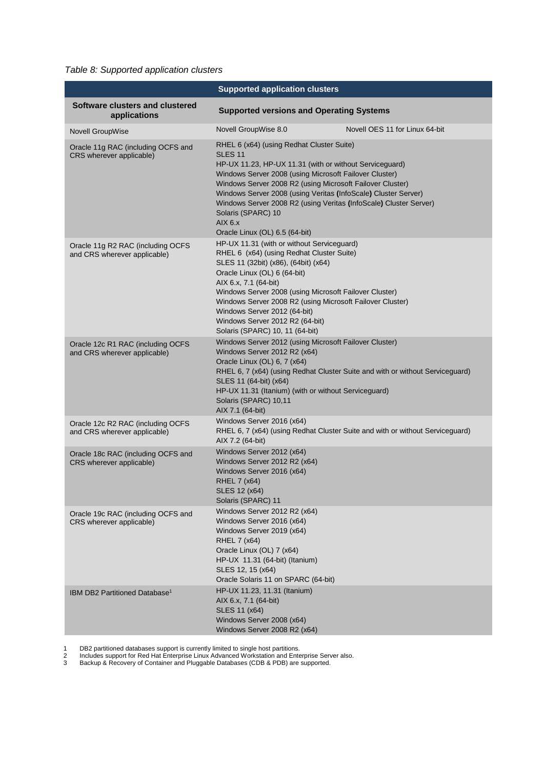<span id="page-15-0"></span>*Table 8: Supported application clusters*

|                                                                   | <b>Supported application clusters</b>                                                                                                                                                                                                                                                                                                                                                                                                                   |                                                                               |
|-------------------------------------------------------------------|---------------------------------------------------------------------------------------------------------------------------------------------------------------------------------------------------------------------------------------------------------------------------------------------------------------------------------------------------------------------------------------------------------------------------------------------------------|-------------------------------------------------------------------------------|
| Software clusters and clustered<br>applications                   | <b>Supported versions and Operating Systems</b>                                                                                                                                                                                                                                                                                                                                                                                                         |                                                                               |
| <b>Novell GroupWise</b>                                           | Novell GroupWise 8.0                                                                                                                                                                                                                                                                                                                                                                                                                                    | Novell OES 11 for Linux 64-bit                                                |
| Oracle 11g RAC (including OCFS and<br>CRS wherever applicable)    | RHEL 6 (x64) (using Redhat Cluster Suite)<br><b>SLES 11</b><br>HP-UX 11.23, HP-UX 11.31 (with or without Serviceguard)<br>Windows Server 2008 (using Microsoft Failover Cluster)<br>Windows Server 2008 R2 (using Microsoft Failover Cluster)<br>Windows Server 2008 (using Veritas (InfoScale) Cluster Server)<br>Windows Server 2008 R2 (using Veritas (InfoScale) Cluster Server)<br>Solaris (SPARC) 10<br>AIX 6.x<br>Oracle Linux (OL) 6.5 (64-bit) |                                                                               |
| Oracle 11g R2 RAC (including OCFS<br>and CRS wherever applicable) | HP-UX 11.31 (with or without Serviceguard)<br>RHEL 6 (x64) (using Redhat Cluster Suite)<br>SLES 11 (32bit) (x86), (64bit) (x64)<br>Oracle Linux (OL) 6 (64-bit)<br>AIX 6.x, 7.1 (64-bit)<br>Windows Server 2008 (using Microsoft Failover Cluster)<br>Windows Server 2008 R2 (using Microsoft Failover Cluster)<br>Windows Server 2012 (64-bit)<br>Windows Server 2012 R2 (64-bit)<br>Solaris (SPARC) 10, 11 (64-bit)                                   |                                                                               |
| Oracle 12c R1 RAC (including OCFS<br>and CRS wherever applicable) | Windows Server 2012 (using Microsoft Failover Cluster)<br>Windows Server 2012 R2 (x64)<br>Oracle Linux (OL) 6, 7 (x64)<br>SLES 11 (64-bit) (x64)<br>HP-UX 11.31 (Itanium) (with or without Serviceguard)<br>Solaris (SPARC) 10,11<br>AIX 7.1 (64-bit)                                                                                                                                                                                                   | RHEL 6, 7 (x64) (using Redhat Cluster Suite and with or without Serviceguard) |
| Oracle 12c R2 RAC (including OCFS<br>and CRS wherever applicable) | Windows Server 2016 (x64)<br>AIX 7.2 (64-bit)                                                                                                                                                                                                                                                                                                                                                                                                           | RHEL 6, 7 (x64) (using Redhat Cluster Suite and with or without Serviceguard) |
| Oracle 18c RAC (including OCFS and<br>CRS wherever applicable)    | Windows Server 2012 (x64)<br>Windows Server 2012 R2 (x64)<br>Windows Server 2016 (x64)<br>RHEL 7 (x64)<br>SLES 12 (x64)<br>Solaris (SPARC) 11                                                                                                                                                                                                                                                                                                           |                                                                               |
| Oracle 19c RAC (including OCFS and<br>CRS wherever applicable)    | Windows Server 2012 R2 (x64)<br>Windows Server 2016 (x64)<br>Windows Server 2019 (x64)<br>RHEL 7 (x64)<br>Oracle Linux (OL) 7 (x64)<br>HP-UX 11.31 (64-bit) (Itanium)<br>SLES 12, 15 (x64)<br>Oracle Solaris 11 on SPARC (64-bit)                                                                                                                                                                                                                       |                                                                               |
| IBM DB2 Partitioned Database <sup>1</sup>                         | HP-UX 11.23, 11.31 (Itanium)<br>AIX 6.x, 7.1 (64-bit)<br>SLES 11 (x64)<br>Windows Server 2008 (x64)<br>Windows Server 2008 R2 (x64)                                                                                                                                                                                                                                                                                                                     |                                                                               |

1 DB2 partitioned databases support is currently limited to single host partitions.

2 Includes support for Red Hat Enterprise Linux Advanced Workstation and Enterprise Server also.

3 Backup & Recovery of Container and Pluggable Databases (CDB & PDB) are supported.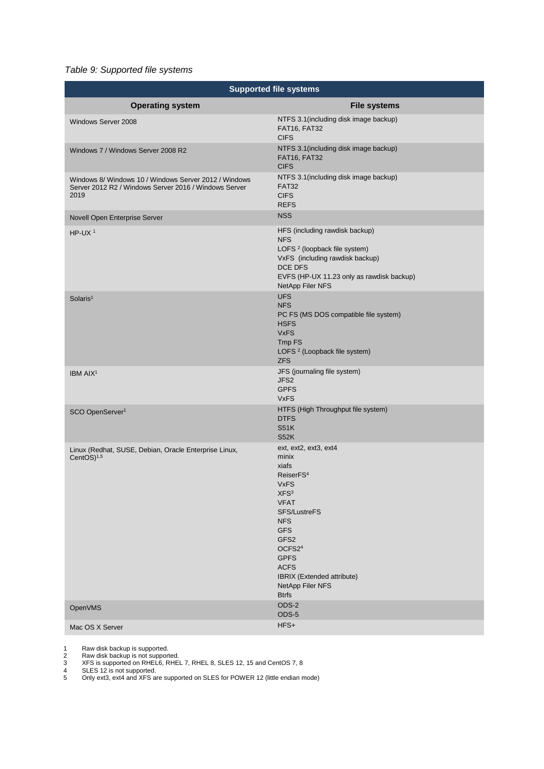### <span id="page-16-0"></span>*Table 9: Supported file systems*

| <b>Supported file systems</b>                                                                                          |                                                                                                                                                                                                                                                                                              |  |
|------------------------------------------------------------------------------------------------------------------------|----------------------------------------------------------------------------------------------------------------------------------------------------------------------------------------------------------------------------------------------------------------------------------------------|--|
| <b>Operating system</b>                                                                                                | <b>File systems</b>                                                                                                                                                                                                                                                                          |  |
| Windows Server 2008                                                                                                    | NTFS 3.1 (including disk image backup)<br>FAT16, FAT32<br><b>CIFS</b>                                                                                                                                                                                                                        |  |
| Windows 7 / Windows Server 2008 R2                                                                                     | NTFS 3.1 (including disk image backup)<br>FAT16, FAT32<br><b>CIFS</b>                                                                                                                                                                                                                        |  |
| Windows 8/ Windows 10 / Windows Server 2012 / Windows<br>Server 2012 R2 / Windows Server 2016 / Windows Server<br>2019 | NTFS 3.1 (including disk image backup)<br><b>FAT32</b><br><b>CIFS</b><br><b>REFS</b>                                                                                                                                                                                                         |  |
| Novell Open Enterprise Server                                                                                          | <b>NSS</b>                                                                                                                                                                                                                                                                                   |  |
| HP-UX $1$                                                                                                              | HFS (including rawdisk backup)<br><b>NFS</b><br>LOFS <sup>2</sup> (loopback file system)<br>VxFS (including rawdisk backup)<br>DCE DFS<br>EVFS (HP-UX 11.23 only as rawdisk backup)<br>NetApp Filer NFS                                                                                      |  |
| Solaris <sup>1</sup>                                                                                                   | <b>UFS</b><br><b>NFS</b><br>PC FS (MS DOS compatible file system)<br><b>HSFS</b><br><b>VxFS</b><br>Tmp FS<br>LOFS <sup>2</sup> (Loopback file system)<br><b>ZFS</b>                                                                                                                          |  |
| IBM AIX <sup>1</sup>                                                                                                   | JFS (journaling file system)<br>JFS2<br><b>GPFS</b><br><b>VxFS</b>                                                                                                                                                                                                                           |  |
| SCO OpenServer <sup>1</sup>                                                                                            | HTFS (High Throughput file system)<br><b>DTFS</b><br><b>S51K</b><br><b>S52K</b>                                                                                                                                                                                                              |  |
| Linux (Redhat, SUSE, Debian, Oracle Enterprise Linux,<br>CentOS $)^{1,5}$                                              | ext, ext2, ext3, ext4<br>minix<br>xiafs<br>ReiserFS <sup>4</sup><br><b>VxFS</b><br>XFS <sup>3</sup><br><b>VFAT</b><br>SFS/LustreFS<br><b>NFS</b><br><b>GFS</b><br>GFS2<br>OCFS2 <sup>4</sup><br><b>GPFS</b><br><b>ACFS</b><br>IBRIX (Extended attribute)<br>NetApp Filer NFS<br><b>Btrfs</b> |  |
| <b>OpenVMS</b>                                                                                                         | ODS-2<br>ODS-5                                                                                                                                                                                                                                                                               |  |
| Mac OS X Server                                                                                                        | HFS+                                                                                                                                                                                                                                                                                         |  |

1 Raw disk backup is supported.

2 Raw disk backup is not supported.

3 XFS is supported on RHEL6, RHEL 7, RHEL 8, SLES 12, 15 and CentOS 7, 8

4 SLES 12 is not supported.

5 Only ext3, ext4 and XFS are supported on SLES for POWER 12 (little endian mode)